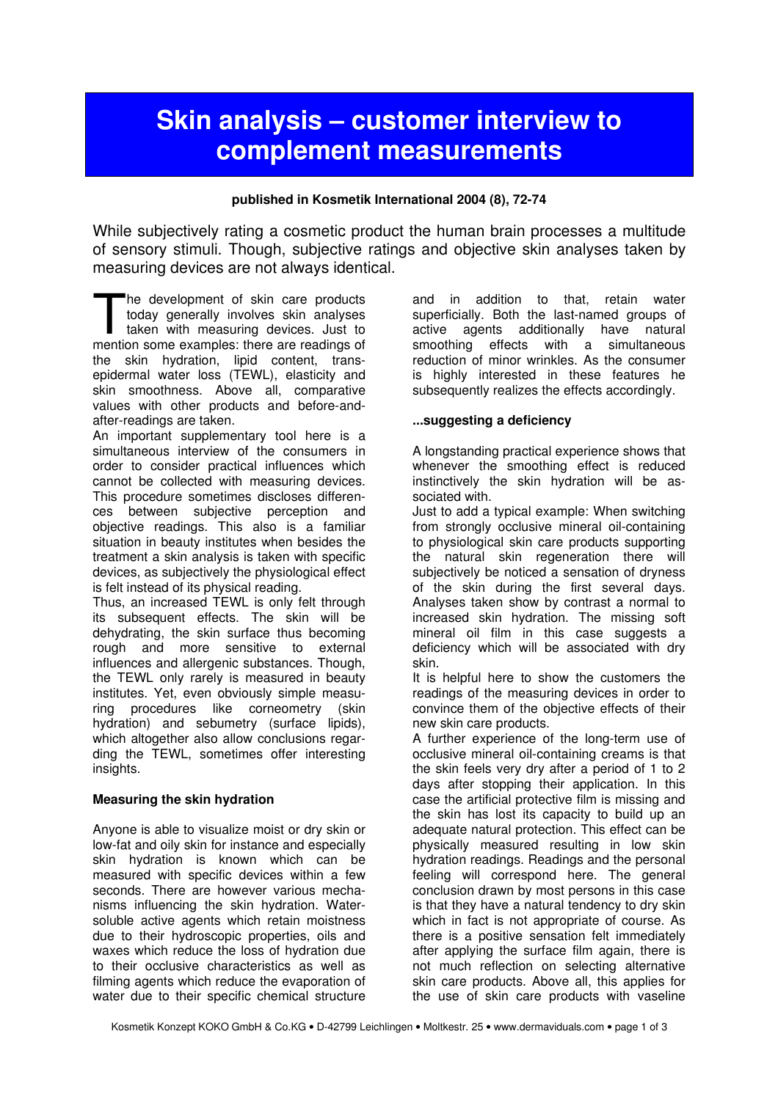# **Skin analysis - customer interview to** complement measurements

#### published in Kosmetik International 2004 (8), 72-74

While subjectively rating a cosmetic product the human brain processes a multitude of sensory stimuli. Though, subjective ratings and objective skin analyses taken by measuring devices are not always identical.

he development of skin care products today generally involves skin analyses taken with measuring devices. Just to The development of skin care products<br>today generally involves skin analyses<br>taken with measuring devices. Just to<br>mention some examples: there are readings of the skin hydration, lipid content, transepidermal water loss (TEWL), elasticity and skin smoothness. Above all, comparative values with other products and before-andafter-readings are taken.

An important supplementary tool here is a simultaneous interview of the consumers in order to consider practical influences which cannot be collected with measuring devices. This procedure sometimes discloses differences between subjective perception and objective readings. This also is a familiar situation in beauty institutes when besides the treatment a skin analysis is taken with specific devices, as subjectively the physiological effect is felt instead of its physical reading.

Thus, an increased TEWL is only felt through its subsequent effects. The skin will be dehydrating, the skin surface thus becoming rough and more sensitive to external influences and allergenic substances. Though, the TEWL only rarely is measured in beauty institutes. Yet, even obviously simple measuring procedures like corneometry (skin hydration) and sebumetry (surface lipids), which altogether also allow conclusions regarding the TEWL, sometimes offer interesting insights.

## Measuring the skin hydration

Anyone is able to visualize moist or dry skin or low-fat and oily skin for instance and especially skin hydration is known which can be measured with specific devices within a few seconds. There are however various mechanisms influencing the skin hydration. Watersoluble active agents which retain moistness due to their hydroscopic properties, oils and waxes which reduce the loss of hydration due to their occlusive characteristics as well as filming agents which reduce the evaporation of water due to their specific chemical structure and in addition to that, retain water superficially. Both the last-named groups of active agents additionally have natural smoothing effects with a simultaneous reduction of minor wrinkles. As the consumer is highly interested in these features he subsequently realizes the effects accordingly.

#### ...suggesting a deficiency

A longstanding practical experience shows that whenever the smoothing effect is reduced instinctively the skin hydration will be associated with.

Just to add a typical example: When switching from strongly occlusive mineral oil-containing to physiological skin care products supporting the natural skin regeneration there will subjectively be noticed a sensation of dryness of the skin during the first several days. Analyses taken show by contrast a normal to increased skin hydration. The missing soft mineral oil film in this case suggests a deficiency which will be associated with dry skin.

It is helpful here to show the customers the readings of the measuring devices in order to convince them of the objective effects of their new skin care products.

A further experience of the long-term use of occlusive mineral oil-containing creams is that the skin feels very dry after a period of 1 to 2 days after stopping their application. In this case the artificial protective film is missing and the skin has lost its capacity to build up an adequate natural protection. This effect can be physically measured resulting in low skin hydration readings. Readings and the personal feeling will correspond here. The general conclusion drawn by most persons in this case is that they have a natural tendency to dry skin which in fact is not appropriate of course. As there is a positive sensation felt immediately after applying the surface film again, there is not much reflection on selecting alternative skin care products. Above all, this applies for the use of skin care products with vaseline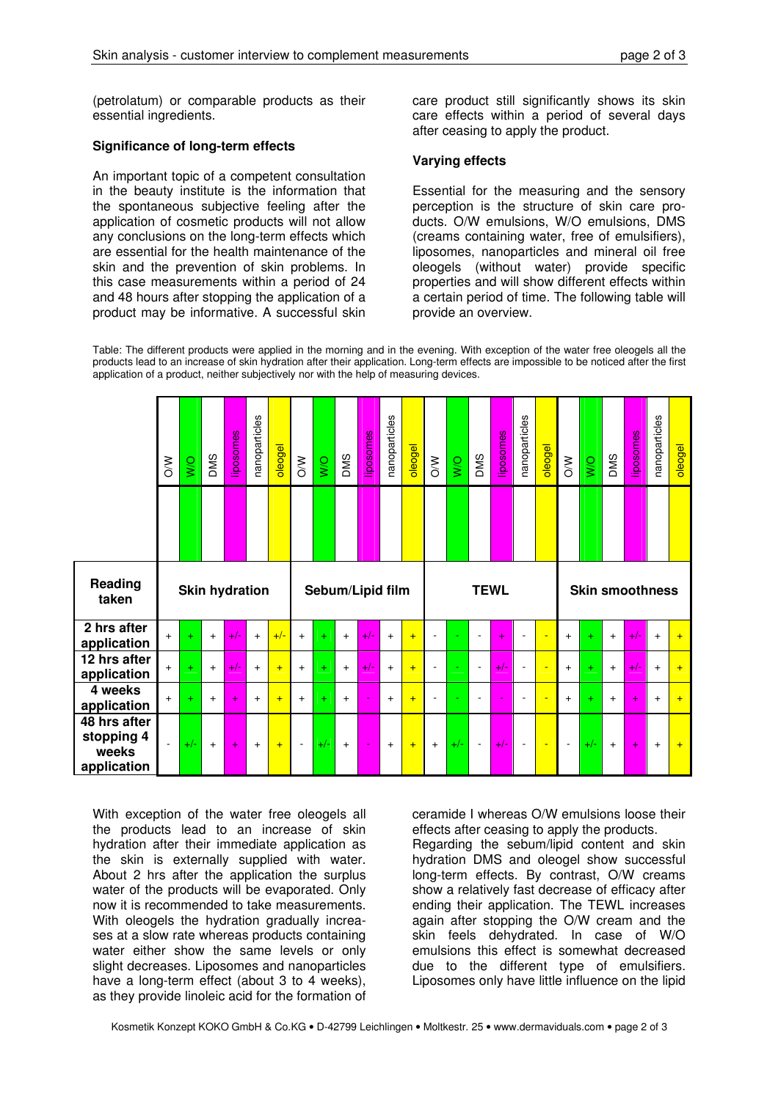(petrolatum) or comparable products as their essential ingredients.

### Significance of long-term effects

An important topic of a competent consultation in the beauty institute is the information that the spontaneous subjective feeling after the application of cosmetic products will not allow any conclusions on the long-term effects which are essential for the health maintenance of the skin and the prevention of skin problems. In this case measurements within a period of 24 and 48 hours after stopping the application of a product may be informative. A successful skin care product still significantly shows its skin care effects within a period of several days after ceasing to apply the product.

#### Varying effects

Essential for the measuring and the sensory perception is the structure of skin care products. O/W emulsions, W/O emulsions, DMS (creams containing water, free of emulsifiers), liposomes, nanoparticles and mineral oil free oleogels (without water) provide specific properties and will show different effects within a certain period of time. The following table will provide an overview.

Table: The different products were applied in the morning and in the evening. With exception of the water free oleogels all the products lead to an increase of skin hydration after their application. Long-term effects are impossible to be noticed after the first application of a product, neither subjectively nor with the help of measuring devices.

|                             | $\frac{8}{\sqrt{2}}$  | $\frac{1}{2}$ | <b>DMS</b> | iposomes | nanoparticles | oleogel | $\lesssim$       | $\overline{W}$ | DMS | iposomes  | nanoparticles | oleogel | $\frac{1}{2}$  | WQ | <b>DMS</b>     | iposomes        | nanoparticles            | oleogel | $\frac{8}{2}$          | <b>O/M</b> | <b>DMS</b> | iposomes | nanoparticles | oleogel |
|-----------------------------|-----------------------|---------------|------------|----------|---------------|---------|------------------|----------------|-----|-----------|---------------|---------|----------------|----|----------------|-----------------|--------------------------|---------|------------------------|------------|------------|----------|---------------|---------|
| Reading<br>taken            | <b>Skin hydration</b> |               |            |          |               |         | Sebum/Lipid film |                |     |           |               |         | <b>TEWL</b>    |    |                |                 |                          |         | <b>Skin smoothness</b> |            |            |          |               |         |
| 2 hrs after<br>application  | $+$                   | $+$           | $+$        | $+/-$    | $+$           | $+/-$   | $+$              | $+$            | $+$ | $\bullet$ | $+$           | $+$     | $\overline{a}$ |    |                | $\ddotplus$     |                          |         | $+$                    | $\ddot{}$  | $+$        | $+/-$    | $+$           | $+$     |
| 12 hrs after<br>application | $+$                   | $+$           | $+$        | $+/-$    | $+$           | $+$     | $\ddot{}$        | $\ddot{}$      | $+$ | Ø         | $+$           | $+$     | $\blacksquare$ |    | $\sim$         | $\blacklozenge$ | $\overline{\phantom{a}}$ | ٠       | $+$                    | $+$        | $+$        | $+/-$    | $+$           | $+$     |
|                             |                       |               |            |          |               |         |                  |                |     |           |               |         |                |    |                |                 |                          |         |                        |            |            |          |               |         |
| 4 weeks<br>application      | $+$                   | $+$           | $\ddot{}$  | $+$      | $+$           | $+$     | $\ddot{}$        | $\ddot{}$      | $+$ |           | $+$           | $+$     | $\blacksquare$ |    | $\blacksquare$ |                 | $\overline{\phantom{a}}$ | ٠       | $+$                    | ÷          | $\ddot{}$  | $+$      | $+$           | $+$     |

With exception of the water free oleogels all the products lead to an increase of skin hydration after their immediate application as the skin is externally supplied with water. About 2 hrs after the application the surplus water of the products will be evaporated. Only now it is recommended to take measurements. With oleogels the hydration gradually increases at a slow rate whereas products containing water either show the same levels or only slight decreases. Liposomes and nanoparticles have a long-term effect (about 3 to 4 weeks), as they provide linoleic acid for the formation of

ceramide I whereas O/W emulsions loose their effects after ceasing to apply the products. Regarding the sebum/lipid content and skin

hydration DMS and oleogel show successful long-term effects. By contrast, O/W creams show a relatively fast decrease of efficacy after ending their application. The TEWL increases again after stopping the O/W cream and the skin feels dehydrated. In case of W/O emulsions this effect is somewhat decreased due to the different type of emulsifiers. Liposomes only have little influence on the lipid